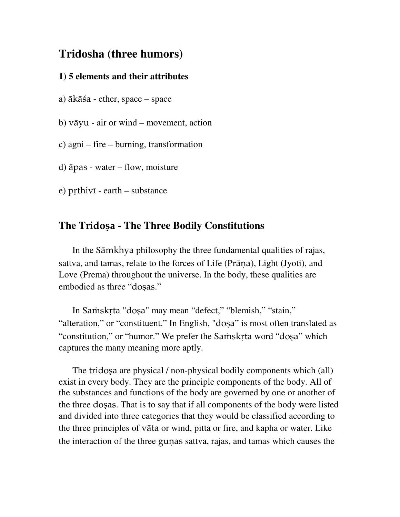# **Tridosha (three humors)**

#### **1) 5 elements and their attributes**

a) äkäça - ether, space – space

b) väyu - air or wind – movement, action

c) agni – fire – burning, transformation

d) äpas - water – flow, moisture

 $e)$  prthivi - earth – substance

## **The Tridosa - The Three Bodily Constitutions**

 In the Sämkhya philosophy the three fundamental qualities of rajas, sattva, and tamas, relate to the forces of Life (Prāna), Light (Jyoti), and Love (Prema) throughout the universe. In the body, these qualities are embodied as three "dosas."

In Samskrta "dosa" may mean "defect," "blemish," "stain," "alteration," or "constituent." In English, "doșa" is most often translated as "constitution," or "humor." We prefer the Samskrta word "dosa" which captures the many meaning more aptly.

The tridosa are physical / non-physical bodily components which (all) exist in every body. They are the principle components of the body. All of the substances and functions of the body are governed by one or another of the three doñas. That is to say that if all components of the body were listed and divided into three categories that they would be classified according to the three principles of väta or wind, pitta or fire, and kapha or water. Like the interaction of the three gunas sattva, rajas, and tamas which causes the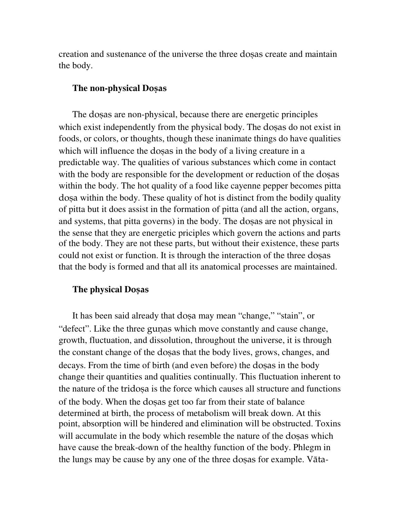creation and sustenance of the universe the three dosas create and maintain the body.

#### **The non-physical Dosas**

The dosas are non-physical, because there are energetic principles which exist independently from the physical body. The dosas do not exist in foods, or colors, or thoughts, though these inanimate things do have qualities which will influence the dosas in the body of a living creature in a predictable way. The qualities of various substances which come in contact with the body are responsible for the development or reduction of the dosas within the body. The hot quality of a food like cayenne pepper becomes pitta dosa within the body. These quality of hot is distinct from the bodily quality of pitta but it does assist in the formation of pitta (and all the action, organs, and systems, that pitta governs) in the body. The dosas are not physical in the sense that they are energetic priciples which govern the actions and parts of the body. They are not these parts, but without their existence, these parts could not exist or function. It is through the interaction of the three dosas that the body is formed and that all its anatomical processes are maintained.

#### **The physical Dosas**

It has been said already that dosa may mean "change," "stain", or "defect". Like the three gunas which move constantly and cause change, growth, fluctuation, and dissolution, throughout the universe, it is through the constant change of the dosas that the body lives, grows, changes, and decays. From the time of birth (and even before) the dosas in the body change their quantities and qualities continually. This fluctuation inherent to the nature of the tridosa is the force which causes all structure and functions of the body. When the dosas get too far from their state of balance determined at birth, the process of metabolism will break down. At this point, absorption will be hindered and elimination will be obstructed. Toxins will accumulate in the body which resemble the nature of the dosas which have cause the break-down of the healthy function of the body. Phlegm in the lungs may be cause by any one of the three dosas for example. Vāta-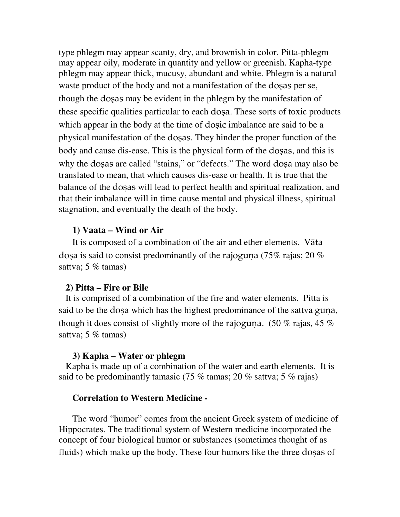type phlegm may appear scanty, dry, and brownish in color. Pitta-phlegm may appear oily, moderate in quantity and yellow or greenish. Kapha-type phlegm may appear thick, mucusy, abundant and white. Phlegm is a natural waste product of the body and not a manifestation of the dosas per se, though the dosas may be evident in the phlegm by the manifestation of these specific qualities particular to each dosa. These sorts of toxic products which appear in the body at the time of dosic imbalance are said to be a physical manifestation of the dosas. They hinder the proper function of the body and cause dis-ease. This is the physical form of the dosas, and this is why the dosas are called "stains," or "defects." The word dosa may also be translated to mean, that which causes dis-ease or health. It is true that the balance of the dosas will lead to perfect health and spiritual realization, and that their imbalance will in time cause mental and physical illness, spiritual stagnation, and eventually the death of the body.

#### **1) Vaata – Wind or Air**

 It is composed of a combination of the air and ether elements. Väta dosa is said to consist predominantly of the rajoguna (75% rajas; 20 %) sattva; 5 % tamas)

#### **2) Pitta – Fire or Bile**

 It is comprised of a combination of the fire and water elements. Pitta is said to be the dosa which has the highest predominance of the sattva guna, though it does consist of slightly more of the rajoguma. (50 % rajas, 45 % sattva; 5 % tamas)

#### **3) Kapha – Water or phlegm**

 Kapha is made up of a combination of the water and earth elements. It is said to be predominantly tamasic (75 % tamas; 20 % sattva; 5 % rajas)

### **Correlation to Western Medicine -**

 The word "humor" comes from the ancient Greek system of medicine of Hippocrates. The traditional system of Western medicine incorporated the concept of four biological humor or substances (sometimes thought of as fluids) which make up the body. These four humors like the three dosas of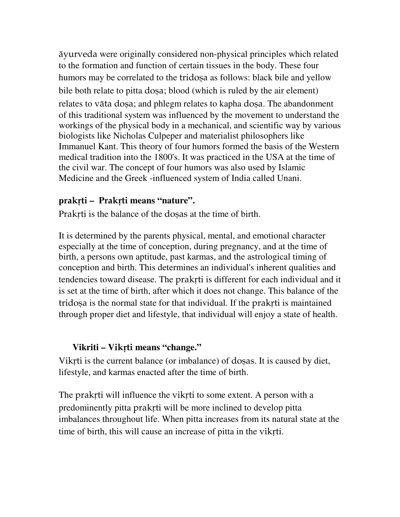äyurveda were originally considered non-physical principles which related to the formation and function of certain tissues in the body. These four humors may be correlated to the tridosa as follows: black bile and yellow bile both relate to pitta dosa; blood (which is ruled by the air element) relates to vāta dosa; and phlegm relates to kapha dosa. The abandonment of this traditional system was influenced by the movement to understand the workings of the physical body in a mechanical, and scientific way by various biologists like Nicholas Culpeper and materialist philosophers like Immanuel Kant. This theory of four humors formed the basis of the Western medical tradition into the 1800's. It was practiced in the USA at the time of the civil war. The concept of four humors was also used by Islamic Medicine and the Greek -influenced system of India called Unani.

## **p**rakåti **– P**rakåti **means "nature".**

Prakrti is the balance of the dosas at the time of birth.

It is determined by the parents physical, mental, and emotional character especially at the time of conception, during pregnancy, and at the time of birth, a persons own aptitude, past karmas, and the astrological timing of conception and birth. This determines an individual's inherent qualities and tendencies toward disease. The praktri is different for each individual and it is set at the time of birth, after which it does not change. This balance of the tridosa is the normal state for that individual. If the praktri is maintained through proper diet and lifestyle, that individual will enjoy a state of health.

### **Vikriti – Vikrti means "change."**

Vikrti is the current balance (or imbalance) of dosas. It is caused by diet, lifestyle, and karmas enacted after the time of birth.

The praktri will influence the vikiti to some extent. A person with a predominently pitta prakti will be more inclined to develop pitta imbalances throughout life. When pitta increases from its natural state at the time of birth, this will cause an increase of pitta in the vikrti.